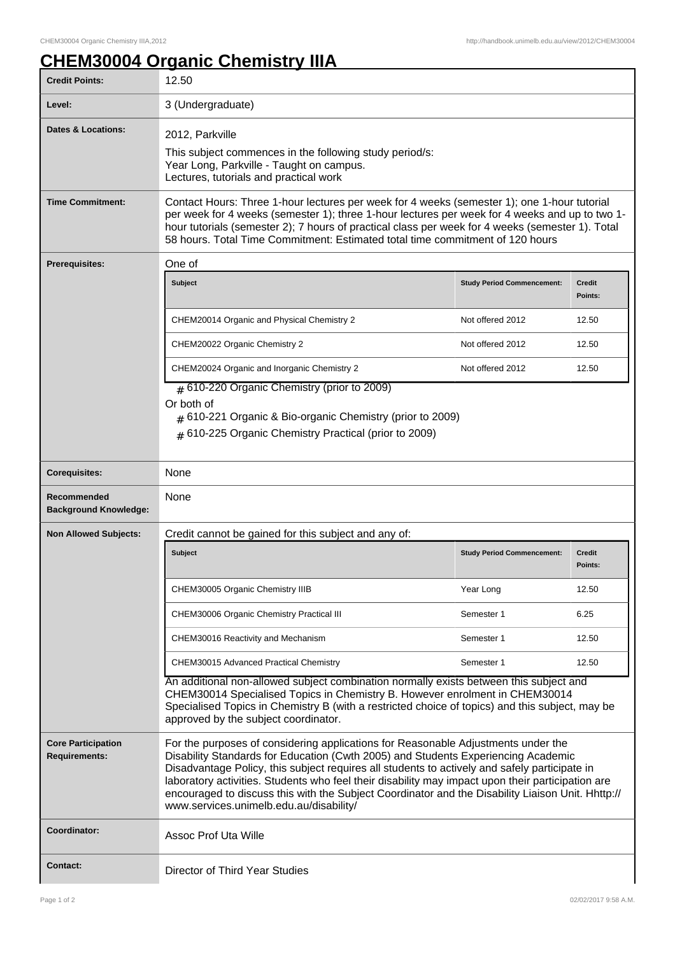٦

## **CHEM30004 Organic Chemistry IIIA**

| <b>Credit Points:</b>                             | 12.50                                                                                                                                                                                                                                                                                                                                                                                                                                                                                                                        |                                   |                          |  |
|---------------------------------------------------|------------------------------------------------------------------------------------------------------------------------------------------------------------------------------------------------------------------------------------------------------------------------------------------------------------------------------------------------------------------------------------------------------------------------------------------------------------------------------------------------------------------------------|-----------------------------------|--------------------------|--|
| Level:                                            | 3 (Undergraduate)                                                                                                                                                                                                                                                                                                                                                                                                                                                                                                            |                                   |                          |  |
| Dates & Locations:                                | 2012, Parkville<br>This subject commences in the following study period/s:<br>Year Long, Parkville - Taught on campus.<br>Lectures, tutorials and practical work                                                                                                                                                                                                                                                                                                                                                             |                                   |                          |  |
| <b>Time Commitment:</b>                           | Contact Hours: Three 1-hour lectures per week for 4 weeks (semester 1); one 1-hour tutorial<br>per week for 4 weeks (semester 1); three 1-hour lectures per week for 4 weeks and up to two 1-<br>hour tutorials (semester 2); 7 hours of practical class per week for 4 weeks (semester 1). Total<br>58 hours. Total Time Commitment: Estimated total time commitment of 120 hours                                                                                                                                           |                                   |                          |  |
| <b>Prerequisites:</b>                             | One of                                                                                                                                                                                                                                                                                                                                                                                                                                                                                                                       |                                   |                          |  |
|                                                   | <b>Subject</b>                                                                                                                                                                                                                                                                                                                                                                                                                                                                                                               | <b>Study Period Commencement:</b> | <b>Credit</b><br>Points: |  |
|                                                   | CHEM20014 Organic and Physical Chemistry 2                                                                                                                                                                                                                                                                                                                                                                                                                                                                                   | Not offered 2012                  | 12.50                    |  |
|                                                   | CHEM20022 Organic Chemistry 2                                                                                                                                                                                                                                                                                                                                                                                                                                                                                                | Not offered 2012                  | 12.50                    |  |
|                                                   | CHEM20024 Organic and Inorganic Chemistry 2                                                                                                                                                                                                                                                                                                                                                                                                                                                                                  | Not offered 2012                  | 12.50                    |  |
|                                                   | # 610-221 Organic & Bio-organic Chemistry (prior to 2009)<br># 610-225 Organic Chemistry Practical (prior to 2009)<br>None                                                                                                                                                                                                                                                                                                                                                                                                   |                                   |                          |  |
| <b>Corequisites:</b>                              |                                                                                                                                                                                                                                                                                                                                                                                                                                                                                                                              |                                   |                          |  |
| Recommended<br><b>Background Knowledge:</b>       | None                                                                                                                                                                                                                                                                                                                                                                                                                                                                                                                         |                                   |                          |  |
| <b>Non Allowed Subjects:</b>                      | Credit cannot be gained for this subject and any of:                                                                                                                                                                                                                                                                                                                                                                                                                                                                         |                                   |                          |  |
|                                                   | Subject                                                                                                                                                                                                                                                                                                                                                                                                                                                                                                                      | <b>Study Period Commencement:</b> | Credit<br>Points:        |  |
|                                                   | CHEM30005 Organic Chemistry IIIB                                                                                                                                                                                                                                                                                                                                                                                                                                                                                             | Year Long                         | 12.50                    |  |
|                                                   | CHEM30006 Organic Chemistry Practical III                                                                                                                                                                                                                                                                                                                                                                                                                                                                                    | Semester 1                        | 6.25                     |  |
|                                                   | CHEM30016 Reactivity and Mechanism                                                                                                                                                                                                                                                                                                                                                                                                                                                                                           | Semester 1                        | 12.50                    |  |
|                                                   | CHEM30015 Advanced Practical Chemistry                                                                                                                                                                                                                                                                                                                                                                                                                                                                                       | Semester 1                        | 12.50                    |  |
|                                                   | An additional non-allowed subject combination normally exists between this subject and<br>CHEM30014 Specialised Topics in Chemistry B. However enrolment in CHEM30014<br>Specialised Topics in Chemistry B (with a restricted choice of topics) and this subject, may be<br>approved by the subject coordinator.                                                                                                                                                                                                             |                                   |                          |  |
| <b>Core Participation</b><br><b>Requirements:</b> | For the purposes of considering applications for Reasonable Adjustments under the<br>Disability Standards for Education (Cwth 2005) and Students Experiencing Academic<br>Disadvantage Policy, this subject requires all students to actively and safely participate in<br>laboratory activities. Students who feel their disability may impact upon their participation are<br>encouraged to discuss this with the Subject Coordinator and the Disability Liaison Unit. Hhttp://<br>www.services.unimelb.edu.au/disability/ |                                   |                          |  |
|                                                   |                                                                                                                                                                                                                                                                                                                                                                                                                                                                                                                              |                                   |                          |  |
| <b>Coordinator:</b>                               | <b>Assoc Prof Uta Wille</b>                                                                                                                                                                                                                                                                                                                                                                                                                                                                                                  |                                   |                          |  |